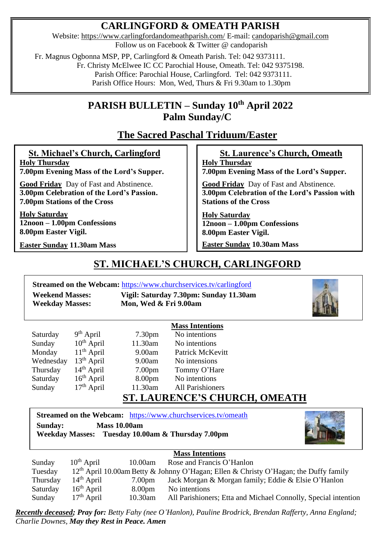## **CARLINGFORD & OMEATH PARISH**

Website:<https://www.carlingfordandomeathparish.com/> E-mail: [candoparish@gmail.com](mailto:candoparish@gmail.com) Follow us on Facebook & Twitter @ candoparish

Fr. Magnus Ogbonna MSP, PP, Carlingford & Omeath Parish. Tel: 042 9373111.

Fr. Christy McElwee IC CC Parochial House, Omeath. Tel: 042 9375198.

Parish Office: Parochial House, Carlingford. Tel: 042 9373111.

Parish Office Hours: Mon, Wed, Thurs & Fri 9.30am to 1.30pm

## **PARISH BULLETIN – Sunday 10th April 2022 Palm Sunday/C**

# **The Sacred Paschal Triduum/Easter**

 **St. Michael's Church, Carlingford Holy Thursday 7.00pm Evening Mass of the Lord's Supper.**

 **Good Friday** Day of Fast and Abstinence.

**3.00pm Celebration of the Lord's Passion. 7.00pm Stations of the Cross**

**Holy Saturday 12noon – 1.00pm Confessions 8.00pm Easter Vigil.**

**Easter Sunday 11.30am Mass** 

### **St. Laurence's Church, Omeath**

**Holy Thursday 7.00pm Evening Mass of the Lord's Supper.**

 **Good Friday** Day of Fast and Abstinence. **3.00pm Celebration of the Lord's Passion with Stations of the Cross**

**Holy Saturday 12noon – 1.00pm Confessions 8.00pm Easter Vigil. Easter Sunday 10.30am Mass**

**ST. MICHAEL'S CHURCH, CARLINGFORD** 

**Streamed on the Webcam:** <https://www.churchservices.tv/carlingford>

**Weekend Masses: Vigil: Saturday 7.30pm: Sunday 11.30am Weekday Masses: Mon, Wed & Fri 9.00am**



|           |                 |                    | <b>Mass Intentions</b>  |
|-----------|-----------------|--------------------|-------------------------|
| Saturday  | $9th$ April     | 7.30 <sub>pm</sub> | No intentions           |
| Sunday    | $10^{th}$ April | 11.30am            | No intentions           |
| Monday    | $11th$ April    | 9.00am             | Patrick McKevitt        |
| Wednesday | $13th$ April    | 9.00am             | No intensions           |
| Thursday  | $14th$ April    | 7.00 <sub>pm</sub> | Tommy O'Hare            |
| Saturday  | $16th$ April    | 8.00pm             | No intentions           |
| Sunday    | $17th$ April    | 11.30am            | <b>All Parishioners</b> |
|           |                 |                    |                         |

## **ST. LAURENCE'S CHURCH, OMEATH**

**Streamed on the Webcam:** <https://www.churchservices.tv/omeath> **Sunday: Mass 10.00am Weekday Masses: Tuesday 10.00am & Thursday 7.00pm**



| <b>Mass Intentions</b> |                 |                    |                                                                                                  |  |
|------------------------|-----------------|--------------------|--------------------------------------------------------------------------------------------------|--|
| Sunday                 | $10^{th}$ April | 10.00am            | Rose and Francis O'Hanlon                                                                        |  |
| Tuesday                |                 |                    | 12 <sup>th</sup> April 10.00am Betty & Johnny O'Hagan; Ellen & Christy O'Hagan; the Duffy family |  |
| Thursday               | $14th$ April    | 7.00 <sub>pm</sub> | Jack Morgan & Morgan family; Eddie & Elsie O'Hanlon                                              |  |
| Saturday               | $16th$ April    | 8.00 <sub>pm</sub> | No intentions                                                                                    |  |
| Sunday                 | $17th$ April    | 10.30am            | All Parishioners; Etta and Michael Connolly, Special intention                                   |  |

*Recently deceased; Pray for: Betty Fahy (nee O'Hanlon), Pauline Brodrick, Brendan Rafferty, Anna England; Charlie Downes, May they Rest in Peace. Amen*